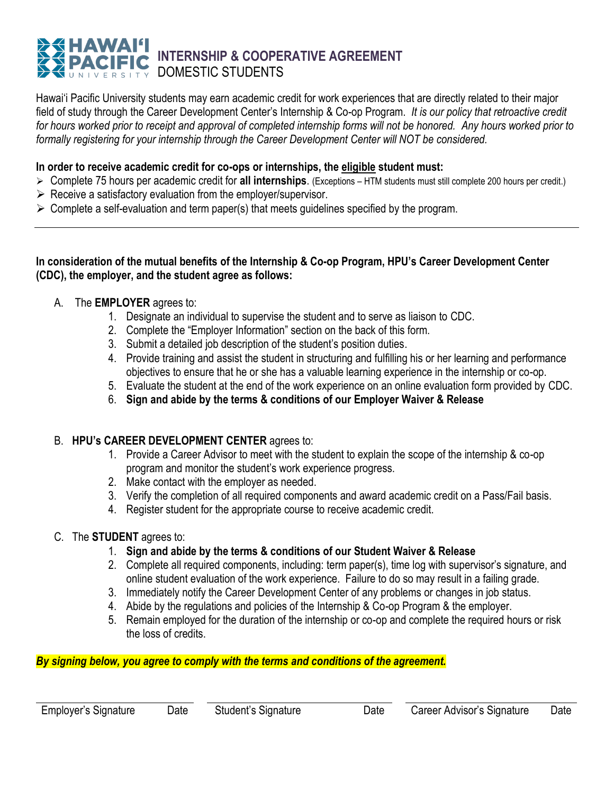# **INTERNSHIP & COOPERATIVE AGREEMENT** DOMESTIC STUDENTS

Hawai'i Pacific University students may earn academic credit for work experiences that are directly related to their major field of study through the Career Development Center's Internship & Co-op Program. *It is our policy that retroactive credit for hours worked prior to receipt and approval of completed internship forms will not be honored. Any hours worked prior to formally registering for your internship through the Career Development Center will NOT be considered.*

#### **In order to receive academic credit for co-ops or internships, the eligible student must:**

- Complete 75 hours per academic credit for **all internships**. (Exceptions HTM students must still complete 200 hours per credit.)
- $\triangleright$  Receive a satisfactory evaluation from the employer/supervisor.
- $\triangleright$  Complete a self-evaluation and term paper(s) that meets guidelines specified by the program.

#### **In consideration of the mutual benefits of the Internship & Co-op Program, HPU's Career Development Center (CDC), the employer, and the student agree as follows:**

- A. The **EMPLOYER** agrees to:
	- 1. Designate an individual to supervise the student and to serve as liaison to CDC.
	- 2. Complete the "Employer Information" section on the back of this form.
	- 3. Submit a detailed job description of the student's position duties.
	- 4. Provide training and assist the student in structuring and fulfilling his or her learning and performance objectives to ensure that he or she has a valuable learning experience in the internship or co-op.
	- 5. Evaluate the student at the end of the work experience on an online evaluation form provided by CDC.
	- 6. **Sign and abide by the terms & conditions of our Employer Waiver & Release**

#### B. **HPU's CAREER DEVELOPMENT CENTER** agrees to:

- 1. Provide a Career Advisor to meet with the student to explain the scope of the internship & co-op program and monitor the student's work experience progress.
- 2. Make contact with the employer as needed.
- 3. Verify the completion of all required components and award academic credit on a Pass/Fail basis.
- 4. Register student for the appropriate course to receive academic credit.

#### C. The **STUDENT** agrees to:

- 1. **Sign and abide by the terms & conditions of our Student Waiver & Release**
- 2. Complete all required components, including: term paper(s), time log with supervisor's signature, and online student evaluation of the work experience. Failure to do so may result in a failing grade.
- 3. Immediately notify the Career Development Center of any problems or changes in job status.
- 4. Abide by the regulations and policies of the Internship & Co-op Program & the employer.
- 5. Remain employed for the duration of the internship or co-op and complete the required hours or risk the loss of credits.

*By signing below, you agree to comply with the terms and conditions of the agreement.*